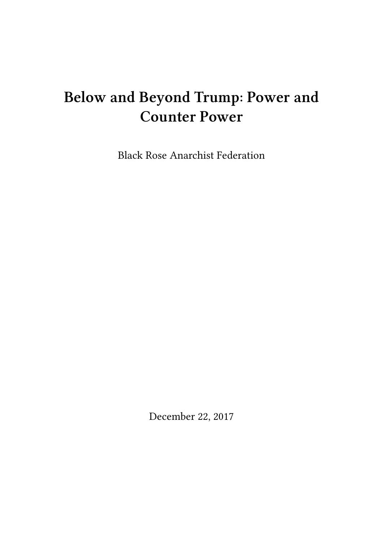# **Below and Beyond Trump: Power and Counter Power**

Black Rose Anarchist Federation

December 22, 2017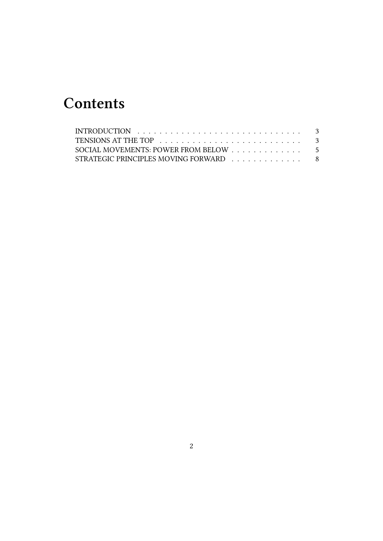# **Contents**

| SOCIAL MOVEMENTS: POWER FROM BELOW 5  |  |
|---------------------------------------|--|
| STRATEGIC PRINCIPLES MOVING FORWARD 8 |  |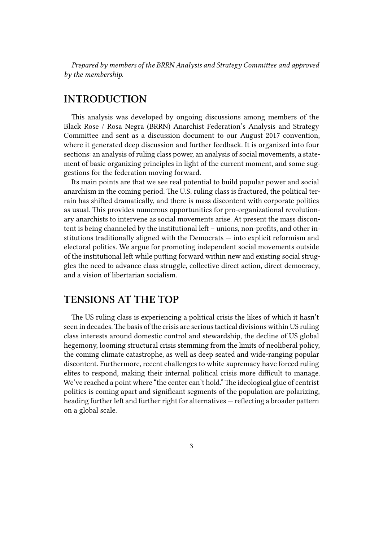*Prepared by members of the BRRN Analysis and Strategy Committee and approved by the membership.*

### <span id="page-2-0"></span>**INTRODUCTION**

This analysis was developed by ongoing discussions among members of the Black Rose / Rosa Negra (BRRN) Anarchist Federation's Analysis and Strategy Committee and sent as a discussion document to our August 2017 convention, where it generated deep discussion and further feedback. It is organized into four sections: an analysis of ruling class power, an analysis of social movements, a statement of basic organizing principles in light of the current moment, and some suggestions for the federation moving forward.

Its main points are that we see real potential to build popular power and social anarchism in the coming period. The U.S. ruling class is fractured, the political terrain has shifted dramatically, and there is mass discontent with corporate politics as usual. This provides numerous opportunities for pro-organizational revolutionary anarchists to intervene as social movements arise. At present the mass discontent is being channeled by the institutional left – unions, non-profits, and other institutions traditionally aligned with the Democrats — into explicit reformism and electoral politics. We argue for promoting independent social movements outside of the institutional left while putting forward within new and existing social struggles the need to advance class struggle, collective direct action, direct democracy, and a vision of libertarian socialism.

#### **TENSIONS AT THE TOP**

The US ruling class is experiencing a political crisis the likes of which it hasn't seen in decades.The basis of the crisis are serious tactical divisions within US ruling class interests around domestic control and stewardship, the decline of US global hegemony, looming structural crisis stemming from the limits of neoliberal policy, the coming climate catastrophe, as well as deep seated and wide-ranging popular discontent. Furthermore, recent challenges to white supremacy have forced ruling elites to respond, making their internal political crisis more difficult to manage. We've reached a point where "the center can't hold." The ideological glue of centrist politics is coming apart and significant segments of the population are polarizing, heading further left and further right for alternatives — reflecting a broader pattern on a global scale.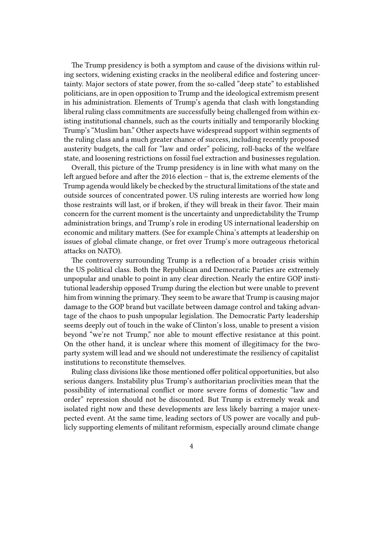The Trump presidency is both a symptom and cause of the divisions within ruling sectors, widening existing cracks in the neoliberal edifice and fostering uncertainty. Major sectors of state power, from the so-called "deep state" to established politicians, are in open opposition to Trump and the ideological extremism present in his administration. Elements of Trump's agenda that clash with longstanding liberal ruling class commitments are successfully being challenged from within existing institutional channels, such as the courts initially and temporarily blocking Trump's "Muslim ban." Other aspects have widespread support within segments of the ruling class and a much greater chance of success, including recently proposed austerity budgets, the call for "law and order" policing, roll-backs of the welfare state, and loosening restrictions on fossil fuel extraction and businesses regulation.

Overall, this picture of the Trump presidency is in line with what many on the left argued before and after the 2016 election – that is, the extreme elements of the Trump agenda would likely be checked by the structural limitations of the state and outside sources of concentrated power. US ruling interests are worried how long those restraints will last, or if broken, if they will break in their favor. Their main concern for the current moment is the uncertainty and unpredictability the Trump administration brings, and Trump's role in eroding US international leadership on economic and military matters. (See for example China's attempts at leadership on issues of global climate change, or fret over Trump's more outrageous rhetorical attacks on NATO).

The controversy surrounding Trump is a reflection of a broader crisis within the US political class. Both the Republican and Democratic Parties are extremely unpopular and unable to point in any clear direction. Nearly the entire GOP institutional leadership opposed Trump during the election but were unable to prevent him from winning the primary. They seem to be aware that Trump is causing major damage to the GOP brand but vacillate between damage control and taking advantage of the chaos to push unpopular legislation. The Democratic Party leadership seems deeply out of touch in the wake of Clinton's loss, unable to present a vision beyond "we're not Trump," nor able to mount effective resistance at this point. On the other hand, it is unclear where this moment of illegitimacy for the twoparty system will lead and we should not underestimate the resiliency of capitalist institutions to reconstitute themselves.

Ruling class divisions like those mentioned offer political opportunities, but also serious dangers. Instability plus Trump's authoritarian proclivities mean that the possibility of international conflict or more severe forms of domestic "law and order" repression should not be discounted. But Trump is extremely weak and isolated right now and these developments are less likely barring a major unexpected event. At the same time, leading sectors of US power are vocally and publicly supporting elements of militant reformism, especially around climate change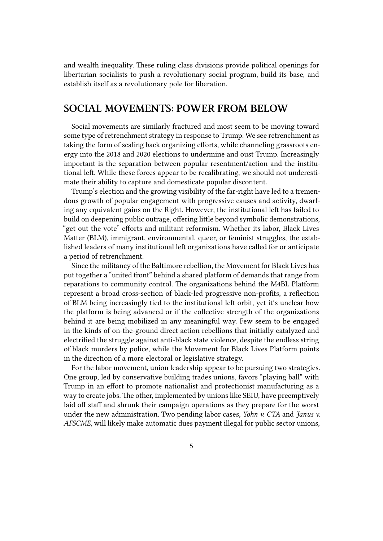and wealth inequality. These ruling class divisions provide political openings for libertarian socialists to push a revolutionary social program, build its base, and establish itself as a revolutionary pole for liberation.

#### **SOCIAL MOVEMENTS: POWER FROM BELOW**

Social movements are similarly fractured and most seem to be moving toward some type of retrenchment strategy in response to Trump. We see retrenchment as taking the form of scaling back organizing efforts, while channeling grassroots energy into the 2018 and 2020 elections to undermine and oust Trump. Increasingly important is the separation between popular resentment/action and the institutional left. While these forces appear to be recalibrating, we should not underestimate their ability to capture and domesticate popular discontent.

Trump's election and the growing visibility of the far-right have led to a tremendous growth of popular engagement with progressive causes and activity, dwarfing any equivalent gains on the Right. However, the institutional left has failed to build on deepening public outrage, offering little beyond symbolic demonstrations, "get out the vote" efforts and militant reformism. Whether its labor, Black Lives Matter (BLM), immigrant, environmental, queer, or feminist struggles, the established leaders of many institutional left organizations have called for or anticipate a period of retrenchment.

Since the militancy of the Baltimore rebellion, the Movement for Black Lives has put together a "united front" behind a shared platform of demands that range from reparations to community control. The organizations behind the M4BL Platform represent a broad cross-section of black-led progressive non-profits, a reflection of BLM being increasingly tied to the institutional left orbit, yet it's unclear how the platform is being advanced or if the collective strength of the organizations behind it are being mobilized in any meaningful way. Few seem to be engaged in the kinds of on-the-ground direct action rebellions that initially catalyzed and electrified the struggle against anti-black state violence, despite the endless string of black murders by police, while the Movement for Black Lives Platform points in the direction of a more electoral or legislative strategy.

For the labor movement, union leadership appear to be pursuing two strategies. One group, led by conservative building trades unions, favors "playing ball" with Trump in an effort to promote nationalist and protectionist manufacturing as a way to create jobs. The other, implemented by unions like SEIU, have preemptively laid off staff and shrunk their campaign operations as they prepare for the worst under the new administration. Two pending labor cases, *Yohn v. CTA* and *Janus v. AFSCME*, will likely make automatic dues payment illegal for public sector unions,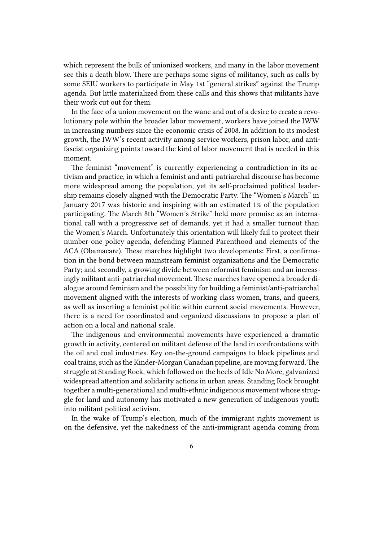which represent the bulk of unionized workers, and many in the labor movement see this a death blow. There are perhaps some signs of militancy, such as calls by some SEIU workers to participate in May 1st "general strikes" against the Trump agenda. But little materialized from these calls and this shows that militants have their work cut out for them.

In the face of a union movement on the wane and out of a desire to create a revolutionary pole within the broader labor movement, workers have joined the IWW in increasing numbers since the economic crisis of 2008. In addition to its modest growth, the IWW's recent activity among service workers, prison labor, and antifascist organizing points toward the kind of labor movement that is needed in this moment.

The feminist "movement" is currently experiencing a contradiction in its activism and practice, in which a feminist and anti-patriarchal discourse has become more widespread among the population, yet its self-proclaimed political leadership remains closely aligned with the Democratic Party. The "Women's March" in January 2017 was historic and inspiring with an estimated 1% of the population participating. The March 8th "Women's Strike" held more promise as an international call with a progressive set of demands, yet it had a smaller turnout than the Women's March. Unfortunately this orientation will likely fail to protect their number one policy agenda, defending Planned Parenthood and elements of the ACA (Obamacare). These marches highlight two developments: First, a confirmation in the bond between mainstream feminist organizations and the Democratic Party; and secondly, a growing divide between reformist feminism and an increasingly militant anti-patriarchal movement. These marches have opened a broader dialogue around feminism and the possibility for building a feminist/anti-patriarchal movement aligned with the interests of working class women, trans, and queers, as well as inserting a feminist politic within current social movements. However, there is a need for coordinated and organized discussions to propose a plan of action on a local and national scale.

The indigenous and environmental movements have experienced a dramatic growth in activity, centered on militant defense of the land in confrontations with the oil and coal industries. Key on-the-ground campaigns to block pipelines and coal trains, such as the Kinder-Morgan Canadian pipeline, are moving forward.The struggle at Standing Rock, which followed on the heels of Idle No More, galvanized widespread attention and solidarity actions in urban areas. Standing Rock brought together a multi-generational and multi-ethnic indigenous movement whose struggle for land and autonomy has motivated a new generation of indigenous youth into militant political activism.

In the wake of Trump's election, much of the immigrant rights movement is on the defensive, yet the nakedness of the anti-immigrant agenda coming from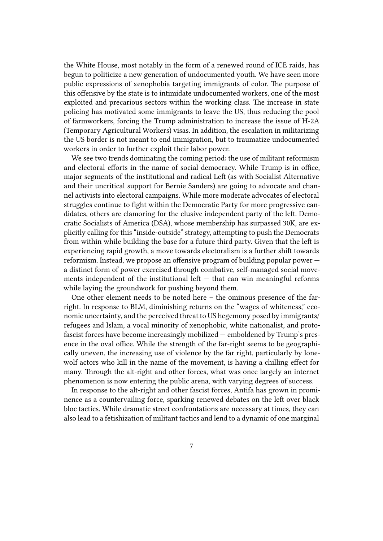the White House, most notably in the form of a renewed round of ICE raids, has begun to politicize a new generation of undocumented youth. We have seen more public expressions of xenophobia targeting immigrants of color. The purpose of this offensive by the state is to intimidate undocumented workers, one of the most exploited and precarious sectors within the working class. The increase in state policing has motivated some immigrants to leave the US, thus reducing the pool of farmworkers, forcing the Trump administration to increase the issue of H-2A (Temporary Agricultural Workers) visas. In addition, the escalation in militarizing the US border is not meant to end immigration, but to traumatize undocumented workers in order to further exploit their labor power.

We see two trends dominating the coming period: the use of militant reformism and electoral efforts in the name of social democracy. While Trump is in office, major segments of the institutional and radical Left (as with Socialist Alternative and their uncritical support for Bernie Sanders) are going to advocate and channel activists into electoral campaigns. While more moderate advocates of electoral struggles continue to fight within the Democratic Party for more progressive candidates, others are clamoring for the elusive independent party of the left. Democratic Socialists of America (DSA), whose membership has surpassed 30K, are explicitly calling for this "inside-outside" strategy, attempting to push the Democrats from within while building the base for a future third party. Given that the left is experiencing rapid growth, a move towards electoralism is a further shift towards reformism. Instead, we propose an offensive program of building popular power a distinct form of power exercised through combative, self-managed social movements independent of the institutional left  $-$  that can win meaningful reforms while laying the groundwork for pushing beyond them.

One other element needs to be noted here – the ominous presence of the farright. In response to BLM, diminishing returns on the "wages of whiteness," economic uncertainty, and the perceived threat to US hegemony posed by immigrants/ refugees and Islam, a vocal minority of xenophobic, white nationalist, and protofascist forces have become increasingly mobilized — emboldened by Trump's presence in the oval office. While the strength of the far-right seems to be geographically uneven, the increasing use of violence by the far right, particularly by lonewolf actors who kill in the name of the movement, is having a chilling effect for many. Through the alt-right and other forces, what was once largely an internet phenomenon is now entering the public arena, with varying degrees of success.

In response to the alt-right and other fascist forces, Antifa has grown in prominence as a countervailing force, sparking renewed debates on the left over black bloc tactics. While dramatic street confrontations are necessary at times, they can also lead to a fetishization of militant tactics and lend to a dynamic of one marginal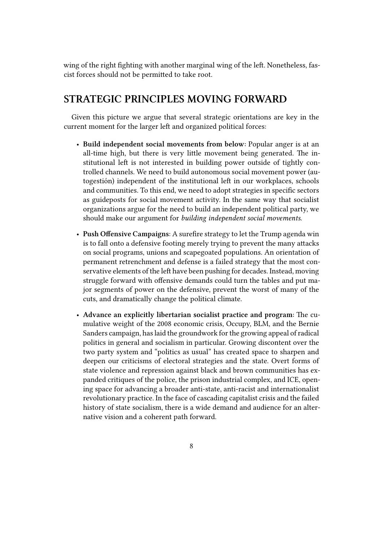wing of the right fighting with another marginal wing of the left. Nonetheless, fascist forces should not be permitted to take root.

## **STRATEGIC PRINCIPLES MOVING FORWARD**

Given this picture we argue that several strategic orientations are key in the current moment for the larger left and organized political forces:

- **Build independent social movements from below:** Popular anger is at an all-time high, but there is very little movement being generated. The institutional left is not interested in building power outside of tightly controlled channels. We need to build autonomous social movement power (autogestión) independent of the institutional left in our workplaces, schools and communities. To this end, we need to adopt strategies in specific sectors as guideposts for social movement activity. In the same way that socialist organizations argue for the need to build an independent political party, we should make our argument for *building independent social movements*.
- **Push Offensive Campaigns**: A surefire strategy to let the Trump agenda win is to fall onto a defensive footing merely trying to prevent the many attacks on social programs, unions and scapegoated populations. An orientation of permanent retrenchment and defense is a failed strategy that the most conservative elements of the left have been pushing for decades. Instead, moving struggle forward with offensive demands could turn the tables and put major segments of power on the defensive, prevent the worst of many of the cuts, and dramatically change the political climate.
- **Advance an explicitly libertarian socialist practice and program:** The cumulative weight of the 2008 economic crisis, Occupy, BLM, and the Bernie Sanders campaign, has laid the groundwork for the growing appeal of radical politics in general and socialism in particular. Growing discontent over the two party system and "politics as usual" has created space to sharpen and deepen our criticisms of electoral strategies and the state. Overt forms of state violence and repression against black and brown communities has expanded critiques of the police, the prison industrial complex, and ICE, opening space for advancing a broader anti-state, anti-racist and internationalist revolutionary practice. In the face of cascading capitalist crisis and the failed history of state socialism, there is a wide demand and audience for an alternative vision and a coherent path forward.